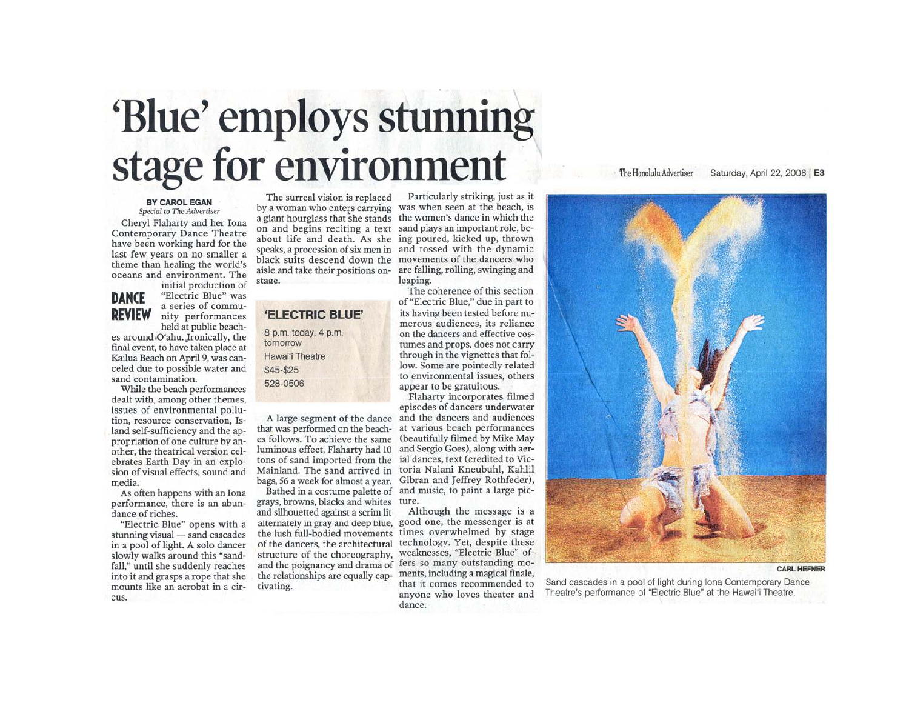# 'Blue' employs stunning stage for environment

#### The Honolulu Advertiser Saturday, April 22, 2006 | E3

#### BY CAROL EGAN Special to The Advertiser

Cheryl Flaharty and her Iona Contemporary Dance Theatre have been working hard for the last few years on no smaller a theme than healing the world's oceans and environment. The initial production of

## **DANCE REVIEW**

"Electric Blue" was a series of community performances held at public beach-

es around O'ahu. Ironically, the final event, to have taken place at Kailua Beach on April 9, was canceled due to possible water and sand contamination.

While the beach performances dealt with, among other themes, issues of environmental pollution, resource conservation, Island self-sufficiency and the appropriation of one culture by another, the theatrical version celebrates Earth Day in an explosion of visual effects, sound and media.

As often happens with an Iona performance, there is an abundance of riches.

"Electric Blue" opens with a stunning visual - sand cascades in a pool of light. A solo dancer slowly walks around this "sandfall," until she suddenly reaches into it and grasps a rope that she mounts like an acrobat in a circus.

by a woman who enters carrying was when seen at the beach, is a giant hourglass that she stands the women's dance in which the on and begins reciting a text sand plays an important role, beabout life and death. As she ing poured, kicked up, thrown speaks, a procession of six men in and tossed with the dynamic black suits descend down the movements of the dancers who aisle and take their positions onstage.

## 'ELECTRIC BLUE'

8 p.m. today, 4 p.m. tomorrow Hawai'i Theatre  $$45 - $25$ 528-0506

A large segment of the dance that was performed on the beaches follows. To achieve the same luminous effect, Flaharty had 10 tons of sand imported from the bags, 56 a week for almost a year.

grays, browns, blacks and whites and silhouetted against a scrim lit the lush full-bodied movements of the dancers, the architectural structure of the choreography, and the poignancy and drama of the relationships are equally captivating.

The surreal vision is replaced Particularly striking, just as it are falling, rolling, swinging and leaping.

The coherence of this section of "Electric Blue," due in part to its having been tested before numerous audiences, its reliance on the dancers and effective costumes and props, does not carry through in the vignettes that follow. Some are pointedly related to environmental issues, others appear to be gratuitous.

Flaharty incorporates filmed episodes of dancers underwater and the dancers and audiences at various beach performances (beautifully filmed by Mike May and Sergio Goes), along with aerial dances, text (credited to Vic-Mainland. The sand arrived in toria Nalani Kneubuhl, Kahlil Gibran and Jeffrey Rothfeder). Bathed in a costume palette of and music, to paint a large picture.

Although the message is a alternately in gray and deep blue, good one, the messenger is at times overwhelmed by stage technology. Yet, despite these weaknesses, "Electric Blue" offers so many outstanding moments, including a magical finale, that it comes recommended to anyone who loves theater and dance.



**CARL HEFNER** 

Sand cascades in a pool of light during Iona Contemporary Dance Theatre's performance of "Electric Blue" at the Hawai'i Theatre.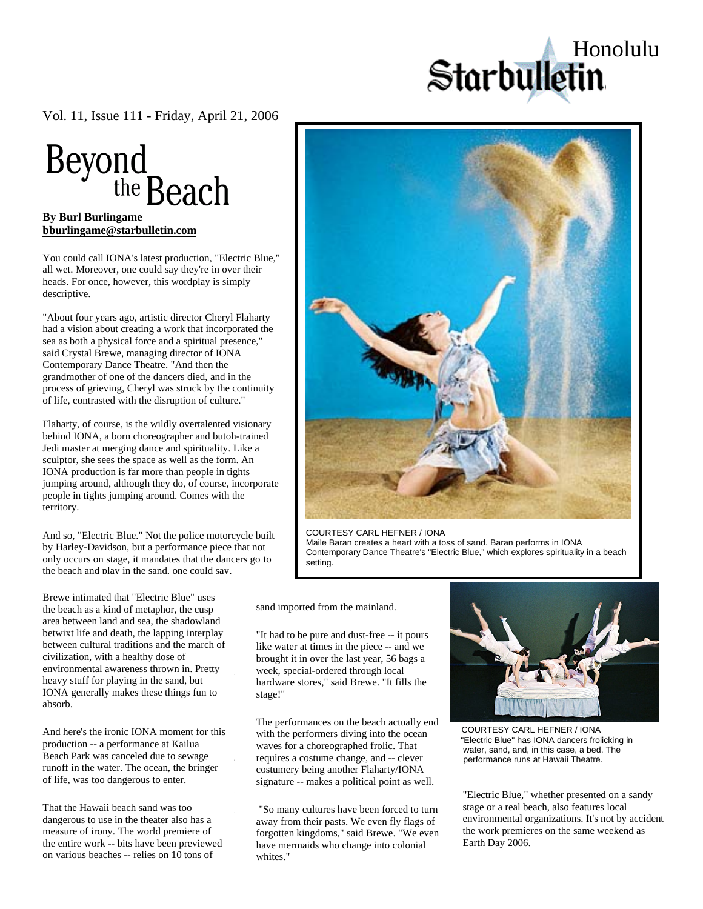Starbulletin

[Vol. 11, Issue 111 - Friday, April 21, 2006](http://starbulletin.com/) 



## **[bburlingame@starbulletin.com](mailto:bburlingame@starbulletin.com?subject=http://starbulletin.com/2006/04/21/)**

nce, however, this wordplay is simply

vet. Moleovel, one could say they le m o heads. For once, however, this wordplay is simply deconintive. descriptive. all wet. Moreover, one could say they're in over their descriptive. You could call IONA's latest production, "Electric Blue,"

"About four years ago, artistic director Cheryl Flaharty had a vision about creating a work that incorporated the real devision dood elemning a work that meep portugations are sea as both a physical force and a spiritual presence," said Crystal Brewe, managing director of IONA Contemporary Dance Theatre. "And then the grandmother of one of the dancers died, and in the process of grieving, Cheryl was struck by the continuity of life, contrasted with the disruption of culture." eyebe

Flaharty, of course, is the wildly overtalented visionary behind IONA, a born choreographer and butoh-trained Jedi master at merging dance and spirituality. Like a sculptor, she sees the space as well as the form. An IONA production is far more than people in tights  $\mu$  jumping around, although they do, of course, if people in tights jumping around. Comes with the  $\mathfrak{t}$  definition  $\mathfrak{g}$ . jumping around, although they do, of course, incorporate territory.

nd so, "Electric Blue." Not the  $\frac{1}{2}$ by Harley-Davidson, but a performance piece that not only occurs on stage, it mandates that the dancers go to the beach and play in the sand, one could say. And so, "Electric Blue." Not the police motorcycle built

Brewe intimated that "Electric Blue" uses the beach as a kind of metaphor, the cusp area between rand and sea, the shadowiand<br>betwixt life and death, the lapping interplay betwixt the and death, the tapping interpray<br>between cultural traditions and the march of effective because of the interactive format civilization, with a healthy dose of environmental awareness thrown in. Pretty All we heavy stuff for playing in the sand, but IONA generally makes these things fun to  $\frac{1}{2}$  absorb. area between land and sea, the shadowland

And here's the ironic IONA moment for this production -- a performance at Kailua Beach Park was canceled due to sewage From Figure and the air in front of the air in front of the air in front of the bringer of life, was too dangerous to enter.  $\mathcal{L}$ 

That the Hawaii beach sand was too responsibility to the same was too dangerous to use in the theater also has a different to use in the theater also has a<br>measure of irony. The world premiere of the entire work -- bits have been previewed on various beaches -- relies on 10 tons of



COURTESY CARL HEFNER / IONA Maile Baran creates a heart with a toss of sand. Baran performs in IONA Contemporary Dance Theatre's "Electric Blue," which explores spirituality in a beach setting.

from full of a room function function  $f(x) = \frac{1}{2} \int_{0}^{x} f(x) \, dx$ sand imported from the mainland.

So then even for guys who don't eat quiche "It had to be pure and dust-free  $-$  it pours like water at times in the piece  $-$  and we brought it in over the last year, 56 bags a week, special-ordered through local stage!" hardware stores," said Brewe. "It fills the

But part of the fun of Madonna is The performances on the beach actually end with the performers diving into the ocean waves for a choreographed frolic. That requires a costume change, and -- clever<br>costumery being another Flaharty/IONA  $\frac{\text{cosu}}{\text{cosu}}$ signature -- makes a political point as well. requires a costume change, and -- clever

"So many cultures have been forced to turn away from their pasts. We even fly flags of forgotten kingdoms," said Brewe. "We even have mermaids who change into colonial whites."



 COURTESY CARL HEFNER / IONA "Electric Blue" has IONA dancers frolicking in water, sand, and, in this case, a bed. The performance runs at Hawaii Theatre.

"Electric Blue," whether presented on a sandy stage or a real beach, also features local environmental organizations. It's not by accident the work premieres on the same weekend as Earth Day 2006.